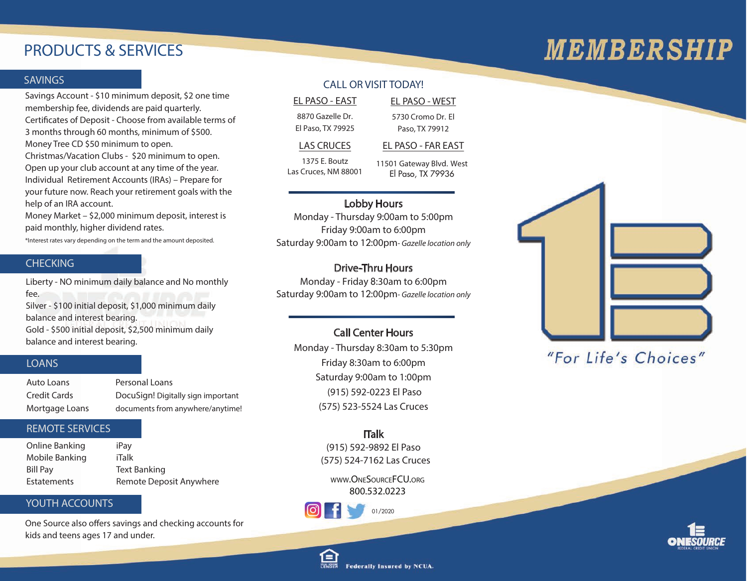### PRODUCTS & SERVICES

# **MEMBERSHIP**

#### **SAVINGS**

**Savings Account** - \$10 minimum deposit, \$2 one time membership fee, dividends are paid quarterly. **Certicates of Deposit** - Choose from available terms of 3 months through 60 months, minimum of \$500. Money Tree CD \$50 minimum to open. **Christmas/Vacation Clubs** - \$20 minimum to open. Open up your club account at any time of the year. **Individual Retirement Accounts (IRAs)** – Prepare for your future now. Reach your retirement goals with the help of an IRA account.

**Money Market** – \$2,000 minimum deposit, interest is paid monthly, higher dividend rates.

\*Interest rates vary depending on the term and the amount deposited.

#### **CHECKING**

**Liberty** - NO minimum daily balance and No monthly fee.

**Silver** - \$100 initial deposit, \$1,000 minimum daily balance and interest bearing. **Gold** - \$500 initial deposit, \$2,500 minimum daily balance and interest bearing.

#### LOANS

| Auto Loans     | Personal Loans                     |
|----------------|------------------------------------|
| Credit Cards   | DocuSign! Digitally sign important |
| Mortgage Loans | documents from anywhere/anytime!   |

#### REMOTE SERVICES

| Online Banking     | iPay                    |
|--------------------|-------------------------|
| Mobile Banking     | iTalk                   |
| <b>Bill Pay</b>    | Text Banking            |
| <b>Estatements</b> | Remote Deposit Anywhere |

#### YOUTH ACCOUNTS

One Source also offers savings and checking accounts for kids and teens ages 17 and under.

#### CALL OR VISIT TODAY!

EL PASO - EAST EL PASO - WEST

8870 Gazelle Dr. El Paso, TX 79925 5730 Cromo Dr. El Paso, TX 79912

#### LAS CRUCES EL PASO - FAR EAST

1375 E. Boutz Las Cruces, NM 88001 11501 Gateway Blvd. West El Paso, TX 79936

#### Lobby Hours

Monday - Thursday 9:00am to 5:00pm Friday 9:00am to 6:00pm Saturday 9:00am to 12:00pm- Gazelle location only

#### Drive-Thru Hours

Monday - Friday 8:30am to 6:00pm Saturday 9:00am to 12:00pm- Gazelle location only

#### Call Center Hours

Monday - Thursday 8:30am to 5:30pm Friday 8:30am to 6:00pm Saturday 9:00am to 1:00pm (915) 592-0223 El Paso (575) 523-5524 Las Cruces

### ITalk

(915) 592-9892 El Paso (575) 524-7162 Las Cruces

**WWW.ONESOURCEFCU.ORG 800.532.0223**